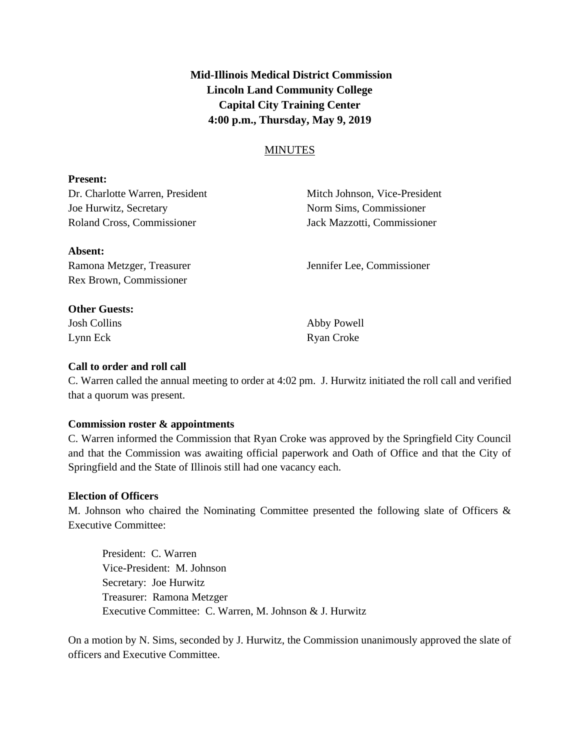# **Mid-Illinois Medical District Commission Lincoln Land Community College Capital City Training Center 4:00 p.m., Thursday, May 9, 2019**

# MINUTES

### **Present:**

Joe Hurwitz, Secretary Norm Sims, Commissioner Roland Cross, Commissioner Jack Mazzotti, Commissioner

Dr. Charlotte Warren, President Mitch Johnson, Vice-President

# **Absent:**

Rex Brown, Commissioner

Ramona Metzger, Treasurer Jennifer Lee, Commissioner

# **Other Guests:**

Lynn Eck Ryan Croke

Josh Collins Abby Powell

# **Call to order and roll call**

C. Warren called the annual meeting to order at 4:02 pm. J. Hurwitz initiated the roll call and verified that a quorum was present.

# **Commission roster & appointments**

C. Warren informed the Commission that Ryan Croke was approved by the Springfield City Council and that the Commission was awaiting official paperwork and Oath of Office and that the City of Springfield and the State of Illinois still had one vacancy each.

# **Election of Officers**

M. Johnson who chaired the Nominating Committee presented the following slate of Officers & Executive Committee:

President: C. Warren Vice-President: M. Johnson Secretary: Joe Hurwitz Treasurer: Ramona Metzger Executive Committee: C. Warren, M. Johnson & J. Hurwitz

On a motion by N. Sims, seconded by J. Hurwitz, the Commission unanimously approved the slate of officers and Executive Committee.